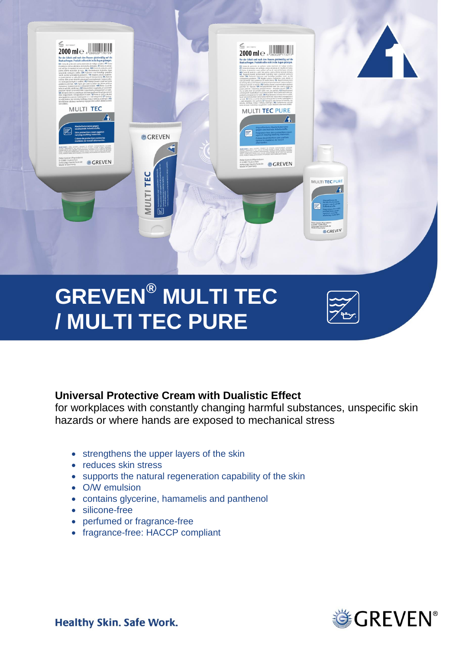

# **GREVEN® MULTI TEC / MULTI TEC PURE**



# **Universal Protective Cream with Dualistic Effect**

for workplaces with constantly changing harmful substances, unspecific skin hazards or where hands are exposed to mechanical stress

- strengthens the upper layers of the skin
- reduces skin stress
- supports the natural regeneration capability of the skin
- O/W emulsion
- contains glycerine, hamamelis and panthenol
- silicone-free
- perfumed or fragrance-free
- fragrance-free: HACCP compliant



**Healthy Skin. Safe Work.**